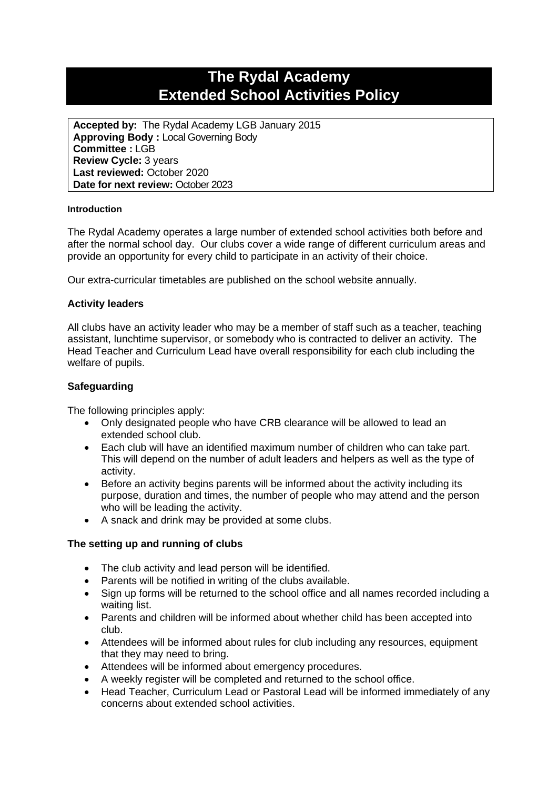# **The Rydal Academy Extended School Activities Policy**

**Accepted by:** The Rydal Academy LGB January 2015 **Approving Body :** Local Governing Body **Committee :** LGB **Review Cycle:** 3 years **Last reviewed:** October 2020 **Date for next review:** October 2023

#### **Introduction**

The Rydal Academy operates a large number of extended school activities both before and after the normal school day. Our clubs cover a wide range of different curriculum areas and provide an opportunity for every child to participate in an activity of their choice.

Our extra-curricular timetables are published on the school website annually.

### **Activity leaders**

All clubs have an activity leader who may be a member of staff such as a teacher, teaching assistant, lunchtime supervisor, or somebody who is contracted to deliver an activity. The Head Teacher and Curriculum Lead have overall responsibility for each club including the welfare of pupils.

### **Safeguarding**

The following principles apply:

- Only designated people who have CRB clearance will be allowed to lead an extended school club.
- Each club will have an identified maximum number of children who can take part. This will depend on the number of adult leaders and helpers as well as the type of activity.
- Before an activity begins parents will be informed about the activity including its purpose, duration and times, the number of people who may attend and the person who will be leading the activity.
- A snack and drink may be provided at some clubs.

### **The setting up and running of clubs**

- The club activity and lead person will be identified.
- Parents will be notified in writing of the clubs available.
- Sign up forms will be returned to the school office and all names recorded including a waiting list.
- Parents and children will be informed about whether child has been accepted into club.
- Attendees will be informed about rules for club including any resources, equipment that they may need to bring.
- Attendees will be informed about emergency procedures.
- A weekly register will be completed and returned to the school office.
- Head Teacher, Curriculum Lead or Pastoral Lead will be informed immediately of any concerns about extended school activities.